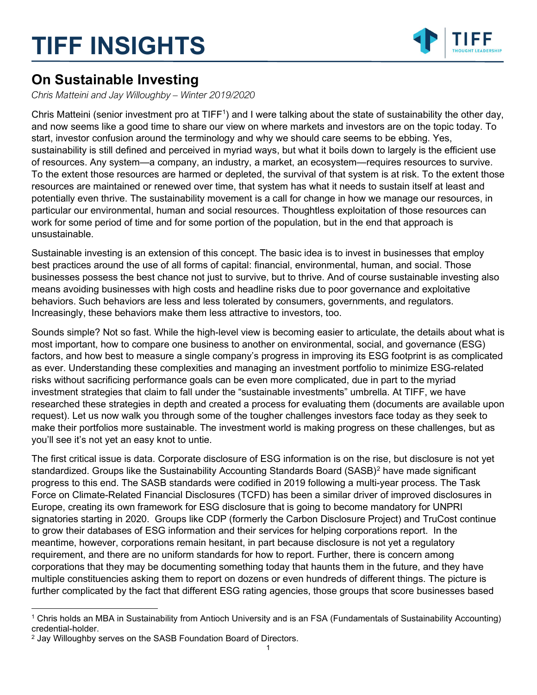## TIFF INSIGHTS



### On Sustainable Investing

Chris Matteini and Jay Willoughby – Winter 2019/2020

Chris Matteini (senior investment pro at TIFF<sup>1</sup>) and I were talking about the state of sustainability the other day, and now seems like a good time to share our view on where markets and investors are on the topic today. To start, investor confusion around the terminology and why we should care seems to be ebbing. Yes, sustainability is still defined and perceived in myriad ways, but what it boils down to largely is the efficient use of resources. Any system—a company, an industry, a market, an ecosystem—requires resources to survive. To the extent those resources are harmed or depleted, the survival of that system is at risk. To the extent those resources are maintained or renewed over time, that system has what it needs to sustain itself at least and potentially even thrive. The sustainability movement is a call for change in how we manage our resources, in particular our environmental, human and social resources. Thoughtless exploitation of those resources can work for some period of time and for some portion of the population, but in the end that approach is unsustainable.

Sustainable investing is an extension of this concept. The basic idea is to invest in businesses that employ best practices around the use of all forms of capital: financial, environmental, human, and social. Those businesses possess the best chance not just to survive, but to thrive. And of course sustainable investing also means avoiding businesses with high costs and headline risks due to poor governance and exploitative behaviors. Such behaviors are less and less tolerated by consumers, governments, and regulators. Increasingly, these behaviors make them less attractive to investors, too.

Sounds simple? Not so fast. While the high-level view is becoming easier to articulate, the details about what is most important, how to compare one business to another on environmental, social, and governance (ESG) factors, and how best to measure a single company's progress in improving its ESG footprint is as complicated as ever. Understanding these complexities and managing an investment portfolio to minimize ESG-related risks without sacrificing performance goals can be even more complicated, due in part to the myriad investment strategies that claim to fall under the "sustainable investments" umbrella. At TIFF, we have researched these strategies in depth and created a process for evaluating them (documents are available upon request). Let us now walk you through some of the tougher challenges investors face today as they seek to make their portfolios more sustainable. The investment world is making progress on these challenges, but as you'll see it's not yet an easy knot to untie.

The first critical issue is data. Corporate disclosure of ESG information is on the rise, but disclosure is not yet standardized. Groups like the Sustainability Accounting Standards Board (SASB)<sup>2</sup> have made significant progress to this end. The SASB standards were codified in 2019 following a multi-year process. The Task Force on Climate-Related Financial Disclosures (TCFD) has been a similar driver of improved disclosures in Europe, creating its own framework for ESG disclosure that is going to become mandatory for UNPRI signatories starting in 2020. Groups like CDP (formerly the Carbon Disclosure Project) and TruCost continue to grow their databases of ESG information and their services for helping corporations report. In the meantime, however, corporations remain hesitant, in part because disclosure is not yet a regulatory requirement, and there are no uniform standards for how to report. Further, there is concern among corporations that they may be documenting something today that haunts them in the future, and they have multiple constituencies asking them to report on dozens or even hundreds of different things. The picture is further complicated by the fact that different ESG rating agencies, those groups that score businesses based

<sup>1</sup> Chris holds an MBA in Sustainability from Antioch University and is an FSA (Fundamentals of Sustainability Accounting) credential-holder.

<sup>&</sup>lt;sup>2</sup> Jay Willoughby serves on the SASB Foundation Board of Directors.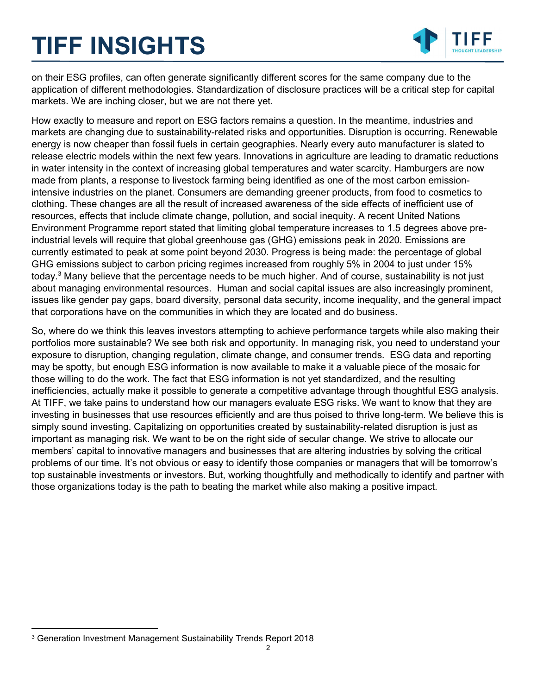# TIFF INSIGHTS



on their ESG profiles, can often generate significantly different scores for the same company due to the application of different methodologies. Standardization of disclosure practices will be a critical step for capital markets. We are inching closer, but we are not there yet.

How exactly to measure and report on ESG factors remains a question. In the meantime, industries and markets are changing due to sustainability-related risks and opportunities. Disruption is occurring. Renewable energy is now cheaper than fossil fuels in certain geographies. Nearly every auto manufacturer is slated to release electric models within the next few years. Innovations in agriculture are leading to dramatic reductions in water intensity in the context of increasing global temperatures and water scarcity. Hamburgers are now made from plants, a response to livestock farming being identified as one of the most carbon emissionintensive industries on the planet. Consumers are demanding greener products, from food to cosmetics to clothing. These changes are all the result of increased awareness of the side effects of inefficient use of resources, effects that include climate change, pollution, and social inequity. A recent United Nations Environment Programme report stated that limiting global temperature increases to 1.5 degrees above preindustrial levels will require that global greenhouse gas (GHG) emissions peak in 2020. Emissions are currently estimated to peak at some point beyond 2030. Progress is being made: the percentage of global GHG emissions subject to carbon pricing regimes increased from roughly 5% in 2004 to just under 15% today.<sup>3</sup> Many believe that the percentage needs to be much higher. And of course, sustainability is not just about managing environmental resources. Human and social capital issues are also increasingly prominent, issues like gender pay gaps, board diversity, personal data security, income inequality, and the general impact that corporations have on the communities in which they are located and do business.

So, where do we think this leaves investors attempting to achieve performance targets while also making their portfolios more sustainable? We see both risk and opportunity. In managing risk, you need to understand your exposure to disruption, changing regulation, climate change, and consumer trends. ESG data and reporting may be spotty, but enough ESG information is now available to make it a valuable piece of the mosaic for those willing to do the work. The fact that ESG information is not yet standardized, and the resulting inefficiencies, actually make it possible to generate a competitive advantage through thoughtful ESG analysis. At TIFF, we take pains to understand how our managers evaluate ESG risks. We want to know that they are investing in businesses that use resources efficiently and are thus poised to thrive long-term. We believe this is simply sound investing. Capitalizing on opportunities created by sustainability-related disruption is just as important as managing risk. We want to be on the right side of secular change. We strive to allocate our members' capital to innovative managers and businesses that are altering industries by solving the critical problems of our time. It's not obvious or easy to identify those companies or managers that will be tomorrow's top sustainable investments or investors. But, working thoughtfully and methodically to identify and partner with those organizations today is the path to beating the market while also making a positive impact.

<sup>3</sup> Generation Investment Management Sustainability Trends Report 2018